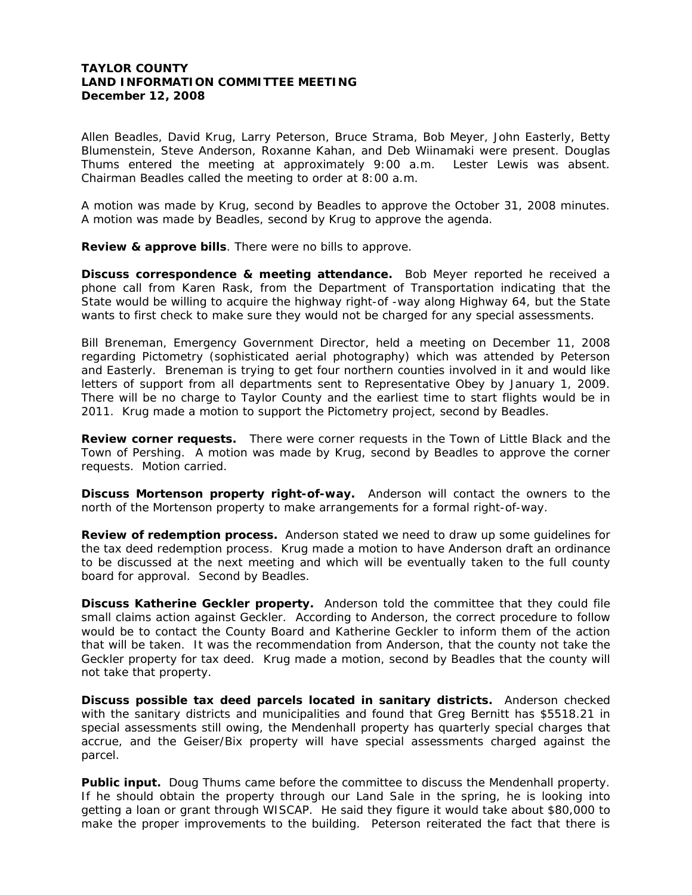## **TAYLOR COUNTY LAND INFORMATION COMMITTEE MEETING December 12, 2008**

Allen Beadles, David Krug, Larry Peterson, Bruce Strama, Bob Meyer, John Easterly, Betty Blumenstein, Steve Anderson, Roxanne Kahan, and Deb Wiinamaki were present. Douglas Thums entered the meeting at approximately 9:00 a.m. Lester Lewis was absent. Chairman Beadles called the meeting to order at 8:00 a.m.

A motion was made by Krug, second by Beadles to approve the October 31, 2008 minutes. A motion was made by Beadles, second by Krug to approve the agenda.

**Review & approve bills**. There were no bills to approve.

**Discuss correspondence & meeting attendance.** Bob Meyer reported he received a phone call from Karen Rask, from the Department of Transportation indicating that the State would be willing to acquire the highway right-of -way along Highway 64, but the State wants to first check to make sure they would not be charged for any special assessments.

Bill Breneman, Emergency Government Director, held a meeting on December 11, 2008 regarding Pictometry (sophisticated aerial photography) which was attended by Peterson and Easterly. Breneman is trying to get four northern counties involved in it and would like letters of support from all departments sent to Representative Obey by January 1, 2009. There will be no charge to Taylor County and the earliest time to start flights would be in 2011. Krug made a motion to support the Pictometry project, second by Beadles.

**Review corner requests.** There were corner requests in the Town of Little Black and the Town of Pershing. A motion was made by Krug, second by Beadles to approve the corner requests. Motion carried.

**Discuss Mortenson property right-of-way.** Anderson will contact the owners to the north of the Mortenson property to make arrangements for a formal right-of-way.

**Review of redemption process.** Anderson stated we need to draw up some guidelines for the tax deed redemption process. Krug made a motion to have Anderson draft an ordinance to be discussed at the next meeting and which will be eventually taken to the full county board for approval. Second by Beadles.

**Discuss Katherine Geckler property.** Anderson told the committee that they could file small claims action against Geckler. According to Anderson, the correct procedure to follow would be to contact the County Board and Katherine Geckler to inform them of the action that will be taken. It was the recommendation from Anderson, that the county not take the Geckler property for tax deed. Krug made a motion, second by Beadles that the county will not take that property.

**Discuss possible tax deed parcels located in sanitary districts.** Anderson checked with the sanitary districts and municipalities and found that Greg Bernitt has \$5518.21 in special assessments still owing, the Mendenhall property has quarterly special charges that accrue, and the Geiser/Bix property will have special assessments charged against the parcel.

Public input. Doug Thums came before the committee to discuss the Mendenhall property. If he should obtain the property through our Land Sale in the spring, he is looking into getting a loan or grant through WISCAP. He said they figure it would take about \$80,000 to make the proper improvements to the building. Peterson reiterated the fact that there is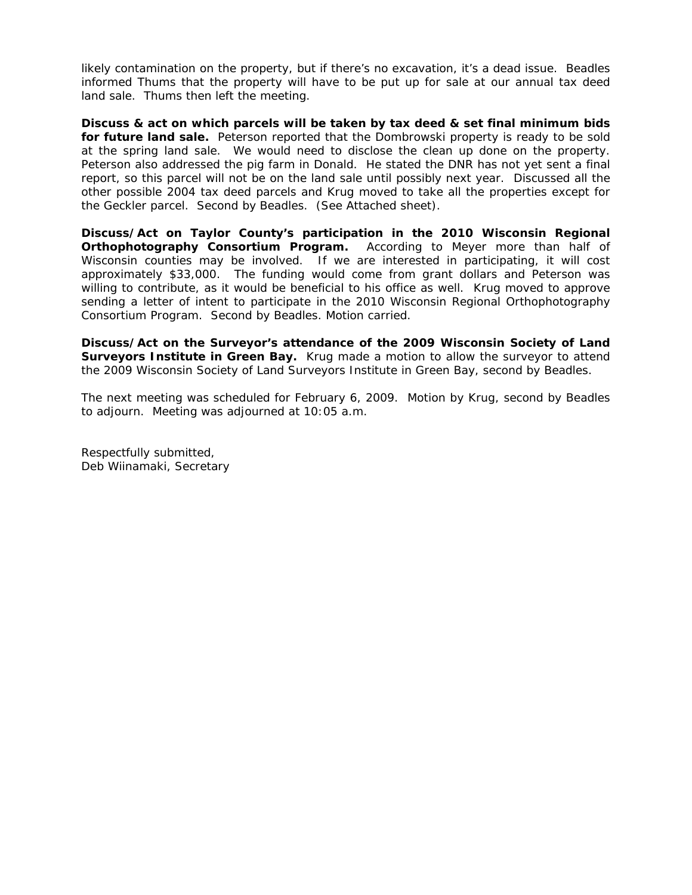likely contamination on the property, but if there's no excavation, it's a dead issue. Beadles informed Thums that the property will have to be put up for sale at our annual tax deed land sale. Thums then left the meeting.

**Discuss & act on which parcels will be taken by tax deed & set final minimum bids for future land sale.** Peterson reported that the Dombrowski property is ready to be sold at the spring land sale. We would need to disclose the clean up done on the property. Peterson also addressed the pig farm in Donald. He stated the DNR has not yet sent a final report, so this parcel will not be on the land sale until possibly next year. Discussed all the other possible 2004 tax deed parcels and Krug moved to take all the properties except for the Geckler parcel. Second by Beadles. (See Attached sheet).

**Discuss/Act on Taylor County's participation in the 2010 Wisconsin Regional Orthophotography Consortium Program.** According to Meyer more than half of Wisconsin counties may be involved. If we are interested in participating, it will cost approximately \$33,000. The funding would come from grant dollars and Peterson was willing to contribute, as it would be beneficial to his office as well. Krug moved to approve sending a letter of intent to participate in the 2010 Wisconsin Regional Orthophotography Consortium Program. Second by Beadles. Motion carried.

**Discuss/Act on the Surveyor's attendance of the 2009 Wisconsin Society of Land Surveyors Institute in Green Bay.** Krug made a motion to allow the surveyor to attend the 2009 Wisconsin Society of Land Surveyors Institute in Green Bay, second by Beadles.

The next meeting was scheduled for February 6, 2009. Motion by Krug, second by Beadles to adjourn. Meeting was adjourned at 10:05 a.m.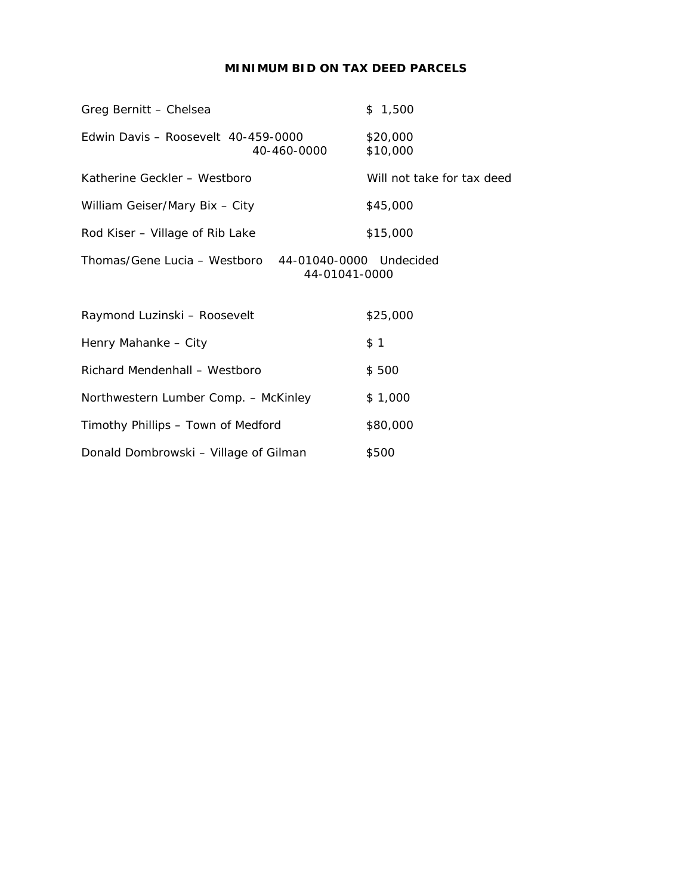# **MINIMUM BID ON TAX DEED PARCELS**

| Greg Bernitt - Chelsea                                                   | \$1,500                    |
|--------------------------------------------------------------------------|----------------------------|
| Edwin Davis - Roosevelt 40-459-0000<br>40-460-0000                       | \$20,000<br>\$10,000       |
| Katherine Geckler - Westboro                                             | Will not take for tax deed |
| William Geiser/Mary Bix - City                                           | \$45,000                   |
| Rod Kiser - Village of Rib Lake                                          | \$15,000                   |
| Thomas/Gene Lucia – Westboro<br>44-01040-0000 Undecided<br>44-01041-0000 |                            |
| Raymond Luzinski - Roosevelt                                             | \$25,000                   |
| Henry Mahanke - City                                                     | \$1                        |
| Richard Mendenhall - Westboro                                            | \$500                      |
| Northwestern Lumber Comp. - McKinley                                     | \$1,000                    |
| Timothy Phillips – Town of Medford                                       | \$80,000                   |
| Donald Dombrowski - Village of Gilman                                    | \$500                      |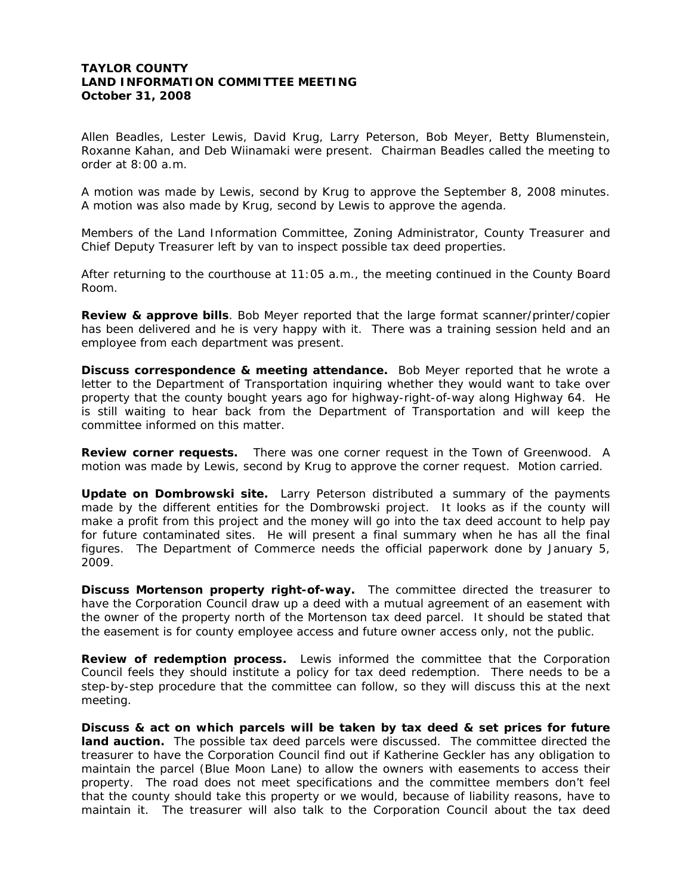# **TAYLOR COUNTY LAND INFORMATION COMMITTEE MEETING October 31, 2008**

Allen Beadles, Lester Lewis, David Krug, Larry Peterson, Bob Meyer, Betty Blumenstein, Roxanne Kahan, and Deb Wiinamaki were present. Chairman Beadles called the meeting to order at 8:00 a.m.

A motion was made by Lewis, second by Krug to approve the September 8, 2008 minutes. A motion was also made by Krug, second by Lewis to approve the agenda.

Members of the Land Information Committee, Zoning Administrator, County Treasurer and Chief Deputy Treasurer left by van to inspect possible tax deed properties.

After returning to the courthouse at 11:05 a.m., the meeting continued in the County Board Room.

**Review & approve bills**. Bob Meyer reported that the large format scanner/printer/copier has been delivered and he is very happy with it. There was a training session held and an employee from each department was present.

**Discuss correspondence & meeting attendance.** Bob Meyer reported that he wrote a letter to the Department of Transportation inquiring whether they would want to take over property that the county bought years ago for highway-right-of-way along Highway 64. He is still waiting to hear back from the Department of Transportation and will keep the committee informed on this matter.

**Review corner requests.** There was one corner request in the Town of Greenwood. A motion was made by Lewis, second by Krug to approve the corner request. Motion carried.

**Update on Dombrowski site.** Larry Peterson distributed a summary of the payments made by the different entities for the Dombrowski project. It looks as if the county will make a profit from this project and the money will go into the tax deed account to help pay for future contaminated sites. He will present a final summary when he has all the final figures. The Department of Commerce needs the official paperwork done by January 5, 2009.

**Discuss Mortenson property right-of-way.** The committee directed the treasurer to have the Corporation Council draw up a deed with a mutual agreement of an easement with the owner of the property north of the Mortenson tax deed parcel. It should be stated that the easement is for county employee access and future owner access only, not the public.

**Review of redemption process.** Lewis informed the committee that the Corporation Council feels they should institute a policy for tax deed redemption. There needs to be a step-by-step procedure that the committee can follow, so they will discuss this at the next meeting.

**Discuss & act on which parcels will be taken by tax deed & set prices for future land auction.** The possible tax deed parcels were discussed. The committee directed the treasurer to have the Corporation Council find out if Katherine Geckler has any obligation to maintain the parcel (Blue Moon Lane) to allow the owners with easements to access their property. The road does not meet specifications and the committee members don't feel that the county should take this property or we would, because of liability reasons, have to maintain it. The treasurer will also talk to the Corporation Council about the tax deed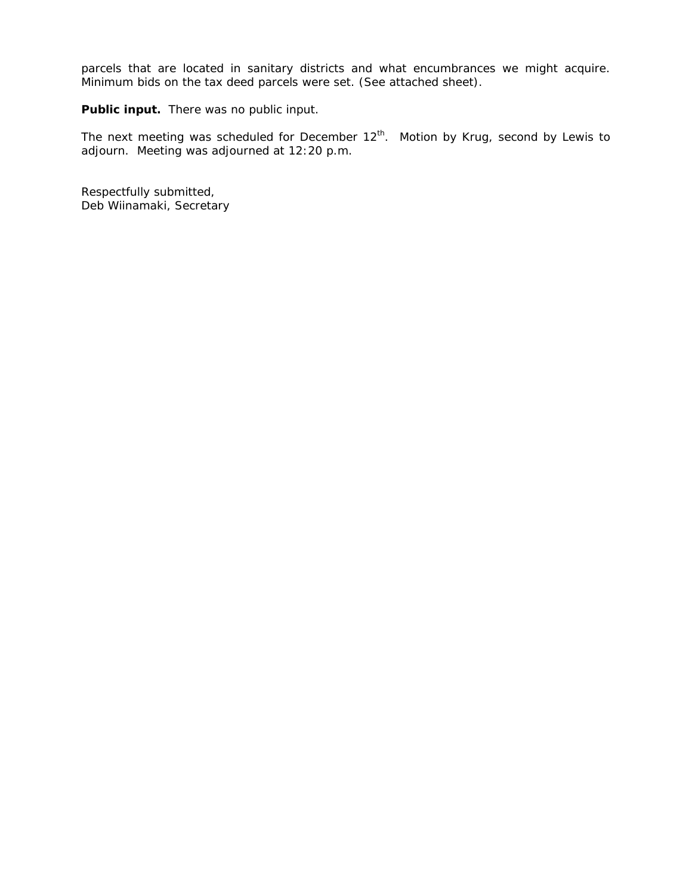parcels that are located in sanitary districts and what encumbrances we might acquire. Minimum bids on the tax deed parcels were set. (See attached sheet).

**Public input.** There was no public input.

The next meeting was scheduled for December  $12^{th}$ . Motion by Krug, second by Lewis to adjourn. Meeting was adjourned at 12:20 p.m.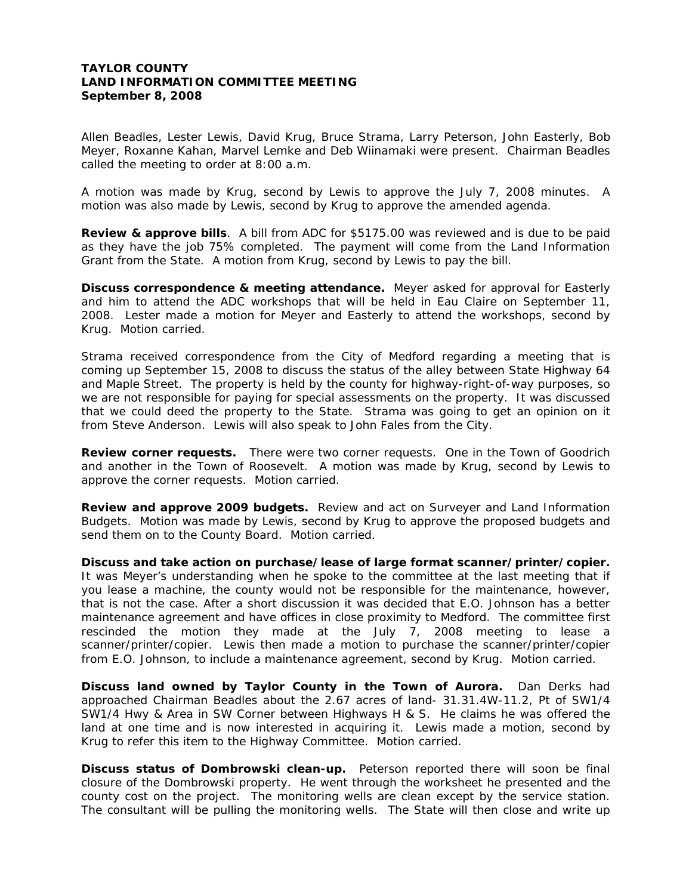# **TAYLOR COUNTY LAND INFORMATION COMMITTEE MEETING September 8, 2008**

Allen Beadles, Lester Lewis, David Krug, Bruce Strama, Larry Peterson, John Easterly, Bob Meyer, Roxanne Kahan, Marvel Lemke and Deb Wiinamaki were present. Chairman Beadles called the meeting to order at 8:00 a.m.

A motion was made by Krug, second by Lewis to approve the July 7, 2008 minutes. A motion was also made by Lewis, second by Krug to approve the amended agenda.

**Review & approve bills**. A bill from ADC for \$5175.00 was reviewed and is due to be paid as they have the job 75% completed. The payment will come from the Land Information Grant from the State. A motion from Krug, second by Lewis to pay the bill.

**Discuss correspondence & meeting attendance.** Meyer asked for approval for Easterly and him to attend the ADC workshops that will be held in Eau Claire on September 11, 2008. Lester made a motion for Meyer and Easterly to attend the workshops, second by Krug. Motion carried.

Strama received correspondence from the City of Medford regarding a meeting that is coming up September 15, 2008 to discuss the status of the alley between State Highway 64 and Maple Street. The property is held by the county for highway-right-of-way purposes, so we are not responsible for paying for special assessments on the property. It was discussed that we could deed the property to the State. Strama was going to get an opinion on it from Steve Anderson. Lewis will also speak to John Fales from the City.

**Review corner requests.** There were two corner requests. One in the Town of Goodrich and another in the Town of Roosevelt. A motion was made by Krug, second by Lewis to approve the corner requests. Motion carried.

**Review and approve 2009 budgets.** Review and act on Surveyer and Land Information Budgets. Motion was made by Lewis, second by Krug to approve the proposed budgets and send them on to the County Board. Motion carried.

**Discuss and take action on purchase/lease of large format scanner/printer/copier.**  It was Meyer's understanding when he spoke to the committee at the last meeting that if you lease a machine, the county would not be responsible for the maintenance, however, that is not the case. After a short discussion it was decided that E.O. Johnson has a better maintenance agreement and have offices in close proximity to Medford. The committee first rescinded the motion they made at the July 7, 2008 meeting to lease a scanner/printer/copier. Lewis then made a motion to purchase the scanner/printer/copier from E.O. Johnson, to include a maintenance agreement, second by Krug. Motion carried.

**Discuss land owned by Taylor County in the Town of Aurora.** Dan Derks had approached Chairman Beadles about the 2.67 acres of land- 31.31.4W-11.2, Pt of SW1/4 SW1/4 Hwy & Area in SW Corner between Highways H & S. He claims he was offered the land at one time and is now interested in acquiring it. Lewis made a motion, second by Krug to refer this item to the Highway Committee. Motion carried.

**Discuss status of Dombrowski clean-up.** Peterson reported there will soon be final closure of the Dombrowski property. He went through the worksheet he presented and the county cost on the project. The monitoring wells are clean except by the service station. The consultant will be pulling the monitoring wells. The State will then close and write up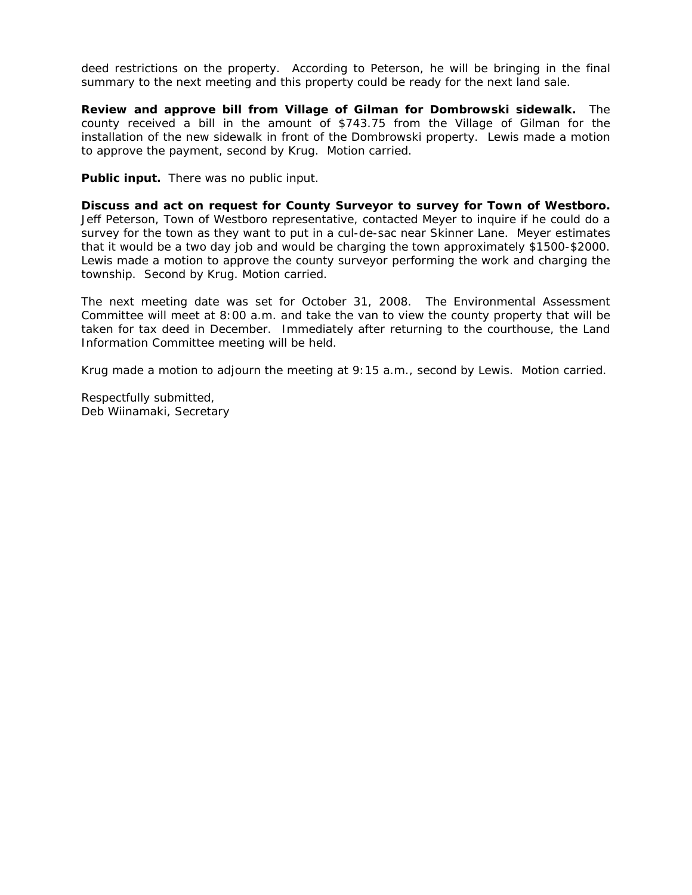deed restrictions on the property. According to Peterson, he will be bringing in the final summary to the next meeting and this property could be ready for the next land sale.

**Review and approve bill from Village of Gilman for Dombrowski sidewalk.** The county received a bill in the amount of \$743.75 from the Village of Gilman for the installation of the new sidewalk in front of the Dombrowski property. Lewis made a motion to approve the payment, second by Krug. Motion carried.

**Public input.** There was no public input.

**Discuss and act on request for County Surveyor to survey for Town of Westboro.**  Jeff Peterson, Town of Westboro representative, contacted Meyer to inquire if he could do a survey for the town as they want to put in a cul-de-sac near Skinner Lane. Meyer estimates that it would be a two day job and would be charging the town approximately \$1500-\$2000. Lewis made a motion to approve the county surveyor performing the work and charging the township. Second by Krug. Motion carried.

The next meeting date was set for October 31, 2008. The Environmental Assessment Committee will meet at 8:00 a.m. and take the van to view the county property that will be taken for tax deed in December. Immediately after returning to the courthouse, the Land Information Committee meeting will be held.

Krug made a motion to adjourn the meeting at 9:15 a.m., second by Lewis. Motion carried.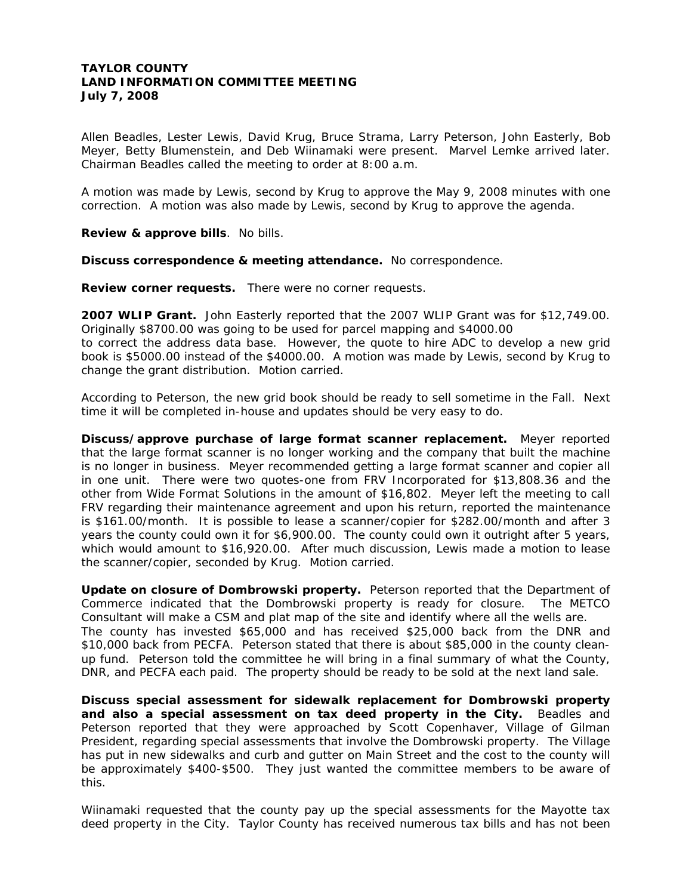# **TAYLOR COUNTY LAND INFORMATION COMMITTEE MEETING July 7, 2008**

Allen Beadles, Lester Lewis, David Krug, Bruce Strama, Larry Peterson, John Easterly, Bob Meyer, Betty Blumenstein, and Deb Wiinamaki were present. Marvel Lemke arrived later. Chairman Beadles called the meeting to order at 8:00 a.m.

A motion was made by Lewis, second by Krug to approve the May 9, 2008 minutes with one correction. A motion was also made by Lewis, second by Krug to approve the agenda.

**Review & approve bills**. No bills.

**Discuss correspondence & meeting attendance.** No correspondence.

**Review corner requests.** There were no corner requests.

**2007 WLIP Grant.** John Easterly reported that the 2007 WLIP Grant was for \$12,749.00. Originally \$8700.00 was going to be used for parcel mapping and \$4000.00

to correct the address data base. However, the quote to hire ADC to develop a new grid book is \$5000.00 instead of the \$4000.00. A motion was made by Lewis, second by Krug to change the grant distribution. Motion carried.

According to Peterson, the new grid book should be ready to sell sometime in the Fall. Next time it will be completed in-house and updates should be very easy to do.

**Discuss/approve purchase of large format scanner replacement.** Meyer reported that the large format scanner is no longer working and the company that built the machine is no longer in business. Meyer recommended getting a large format scanner and copier all in one unit. There were two quotes-one from FRV Incorporated for \$13,808.36 and the other from Wide Format Solutions in the amount of \$16,802. Meyer left the meeting to call FRV regarding their maintenance agreement and upon his return, reported the maintenance is \$161.00/month. It is possible to lease a scanner/copier for \$282.00/month and after 3 years the county could own it for \$6,900.00. The county could own it outright after 5 years, which would amount to \$16,920.00. After much discussion, Lewis made a motion to lease the scanner/copier, seconded by Krug. Motion carried.

**Update on closure of Dombrowski property.** Peterson reported that the Department of Commerce indicated that the Dombrowski property is ready for closure. The METCO Consultant will make a CSM and plat map of the site and identify where all the wells are. The county has invested \$65,000 and has received \$25,000 back from the DNR and \$10,000 back from PECFA. Peterson stated that there is about \$85,000 in the county cleanup fund. Peterson told the committee he will bring in a final summary of what the County, DNR, and PECFA each paid. The property should be ready to be sold at the next land sale.

**Discuss special assessment for sidewalk replacement for Dombrowski property and also a special assessment on tax deed property in the City.** Beadles and Peterson reported that they were approached by Scott Copenhaver, Village of Gilman President, regarding special assessments that involve the Dombrowski property. The Village has put in new sidewalks and curb and gutter on Main Street and the cost to the county will be approximately \$400-\$500. They just wanted the committee members to be aware of this.

Wiinamaki requested that the county pay up the special assessments for the Mayotte tax deed property in the City. Taylor County has received numerous tax bills and has not been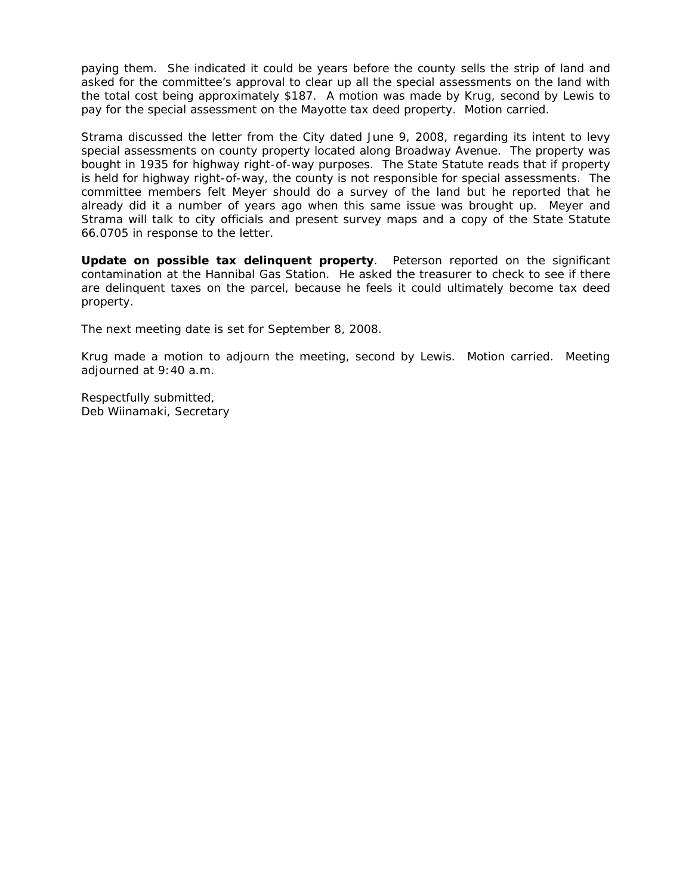paying them. She indicated it could be years before the county sells the strip of land and asked for the committee's approval to clear up all the special assessments on the land with the total cost being approximately \$187. A motion was made by Krug, second by Lewis to pay for the special assessment on the Mayotte tax deed property. Motion carried.

Strama discussed the letter from the City dated June 9, 2008, regarding its intent to levy special assessments on county property located along Broadway Avenue. The property was bought in 1935 for highway right-of-way purposes. The State Statute reads that if property is held for highway right-of-way, the county is not responsible for special assessments. The committee members felt Meyer should do a survey of the land but he reported that he already did it a number of years ago when this same issue was brought up. Meyer and Strama will talk to city officials and present survey maps and a copy of the State Statute 66.0705 in response to the letter.

**Update on possible tax delinquent property**. Peterson reported on the significant contamination at the Hannibal Gas Station. He asked the treasurer to check to see if there are delinquent taxes on the parcel, because he feels it could ultimately become tax deed property.

The next meeting date is set for September 8, 2008.

Krug made a motion to adjourn the meeting, second by Lewis. Motion carried. Meeting adjourned at 9:40 a.m.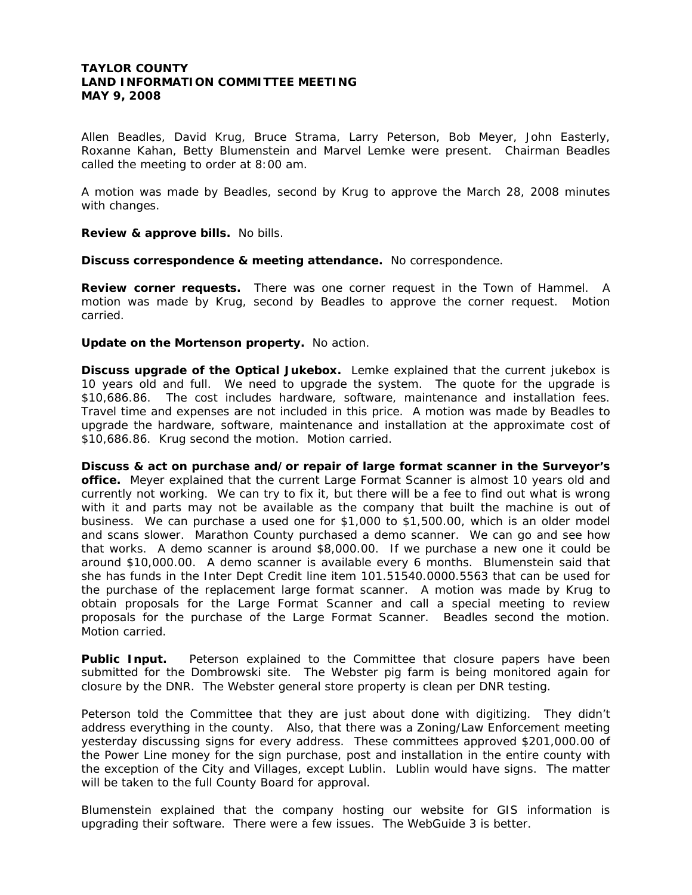# **TAYLOR COUNTY LAND INFORMATION COMMITTEE MEETING MAY 9, 2008**

Allen Beadles, David Krug, Bruce Strama, Larry Peterson, Bob Meyer, John Easterly, Roxanne Kahan, Betty Blumenstein and Marvel Lemke were present. Chairman Beadles called the meeting to order at 8:00 am.

A motion was made by Beadles, second by Krug to approve the March 28, 2008 minutes with changes.

**Review & approve bills.** No bills.

**Discuss correspondence & meeting attendance.** No correspondence.

**Review corner requests.** There was one corner request in the Town of Hammel. A motion was made by Krug, second by Beadles to approve the corner request. Motion carried.

**Update on the Mortenson property.** No action.

**Discuss upgrade of the Optical Jukebox.** Lemke explained that the current jukebox is 10 years old and full. We need to upgrade the system. The quote for the upgrade is \$10,686.86. The cost includes hardware, software, maintenance and installation fees. Travel time and expenses are not included in this price. A motion was made by Beadles to upgrade the hardware, software, maintenance and installation at the approximate cost of \$10,686.86. Krug second the motion. Motion carried.

**Discuss & act on purchase and/or repair of large format scanner in the Surveyor's office.** Meyer explained that the current Large Format Scanner is almost 10 years old and currently not working. We can try to fix it, but there will be a fee to find out what is wrong with it and parts may not be available as the company that built the machine is out of business. We can purchase a used one for \$1,000 to \$1,500.00, which is an older model and scans slower. Marathon County purchased a demo scanner. We can go and see how that works. A demo scanner is around \$8,000.00. If we purchase a new one it could be around \$10,000.00. A demo scanner is available every 6 months. Blumenstein said that she has funds in the Inter Dept Credit line item 101.51540.0000.5563 that can be used for the purchase of the replacement large format scanner. A motion was made by Krug to obtain proposals for the Large Format Scanner and call a special meeting to review proposals for the purchase of the Large Format Scanner. Beadles second the motion. Motion carried.

**Public Input.** Peterson explained to the Committee that closure papers have been submitted for the Dombrowski site. The Webster pig farm is being monitored again for closure by the DNR. The Webster general store property is clean per DNR testing.

Peterson told the Committee that they are just about done with digitizing. They didn't address everything in the county. Also, that there was a Zoning/Law Enforcement meeting yesterday discussing signs for every address. These committees approved \$201,000.00 of the Power Line money for the sign purchase, post and installation in the entire county with the exception of the City and Villages, except Lublin. Lublin would have signs. The matter will be taken to the full County Board for approval.

Blumenstein explained that the company hosting our website for GIS information is upgrading their software. There were a few issues. The WebGuide 3 is better.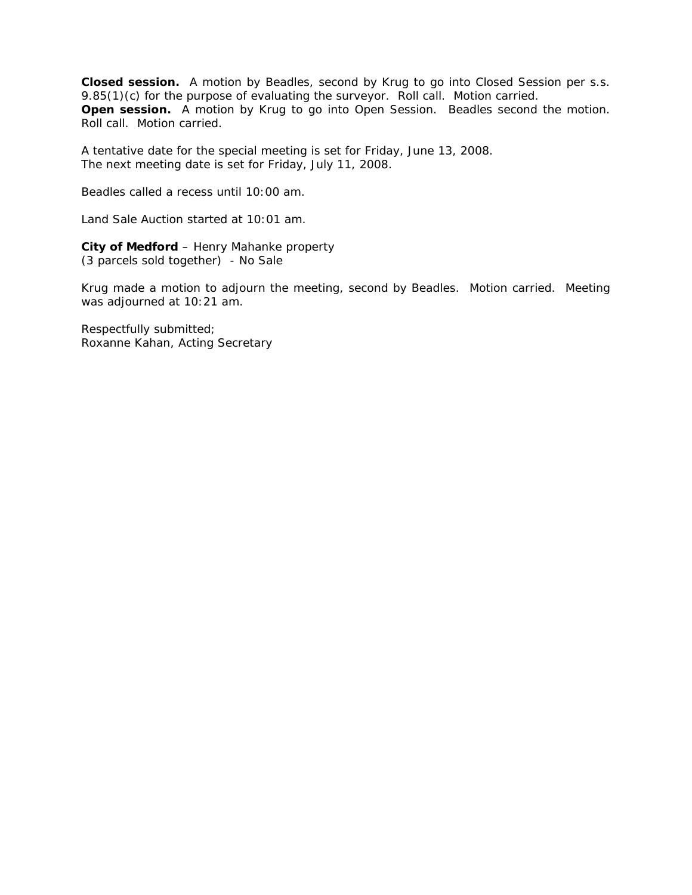**Closed session.** A motion by Beadles, second by Krug to go into Closed Session per s.s. 9.85(1)(c) for the purpose of evaluating the surveyor. Roll call. Motion carried. **Open session.** A motion by Krug to go into Open Session. Beadles second the motion. Roll call. Motion carried.

A tentative date for the special meeting is set for Friday, June 13, 2008. The next meeting date is set for Friday, July 11, 2008.

Beadles called a recess until 10:00 am.

Land Sale Auction started at 10:01 am.

**City of Medford** – Henry Mahanke property (3 parcels sold together) - No Sale

Krug made a motion to adjourn the meeting, second by Beadles. Motion carried. Meeting was adjourned at 10:21 am.

Respectfully submitted; Roxanne Kahan, Acting Secretary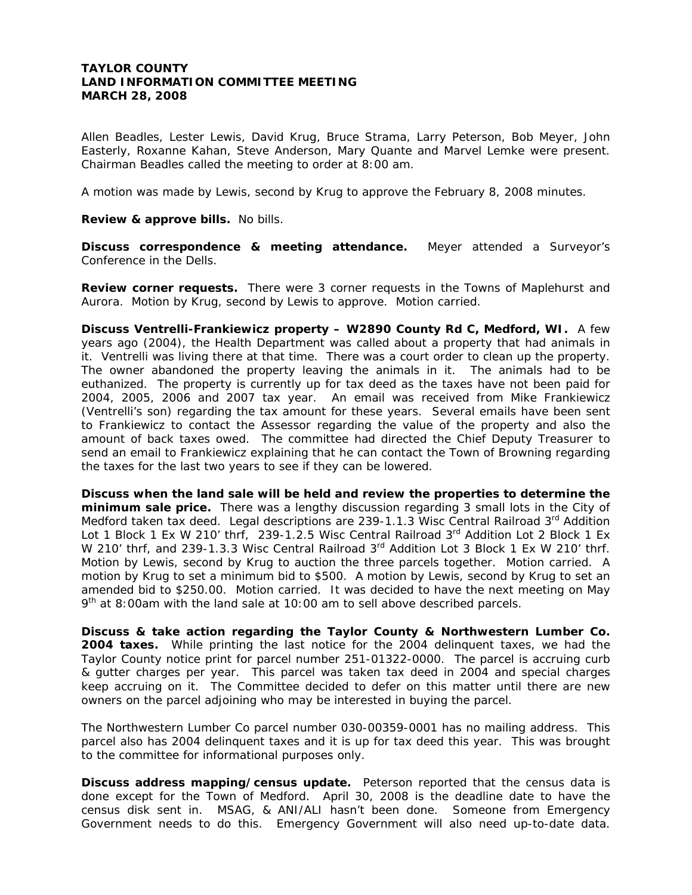# **TAYLOR COUNTY LAND INFORMATION COMMITTEE MEETING MARCH 28, 2008**

Allen Beadles, Lester Lewis, David Krug, Bruce Strama, Larry Peterson, Bob Meyer, John Easterly, Roxanne Kahan, Steve Anderson, Mary Quante and Marvel Lemke were present. Chairman Beadles called the meeting to order at 8:00 am.

A motion was made by Lewis, second by Krug to approve the February 8, 2008 minutes.

**Review & approve bills.** No bills.

**Discuss correspondence & meeting attendance.** Meyer attended a Surveyor's Conference in the Dells.

**Review corner requests.** There were 3 corner requests in the Towns of Maplehurst and Aurora. Motion by Krug, second by Lewis to approve. Motion carried.

**Discuss Ventrelli-Frankiewicz property – W2890 County Rd C, Medford, WI.** A few years ago (2004), the Health Department was called about a property that had animals in it. Ventrelli was living there at that time. There was a court order to clean up the property. The owner abandoned the property leaving the animals in it. The animals had to be euthanized. The property is currently up for tax deed as the taxes have not been paid for 2004, 2005, 2006 and 2007 tax year. An email was received from Mike Frankiewicz (Ventrelli's son) regarding the tax amount for these years. Several emails have been sent to Frankiewicz to contact the Assessor regarding the value of the property and also the amount of back taxes owed. The committee had directed the Chief Deputy Treasurer to send an email to Frankiewicz explaining that he can contact the Town of Browning regarding the taxes for the last two years to see if they can be lowered.

**Discuss when the land sale will be held and review the properties to determine the minimum sale price.** There was a lengthy discussion regarding 3 small lots in the City of Medford taken tax deed. Legal descriptions are 239-1.1.3 Wisc Central Railroad  $3<sup>rd</sup>$  Addition Lot 1 Block 1 Ex W 210' thrf, 239-1.2.5 Wisc Central Railroad 3<sup>rd</sup> Addition Lot 2 Block 1 Ex W 210' thrf, and 239-1.3.3 Wisc Central Railroad 3<sup>rd</sup> Addition Lot 3 Block 1 Ex W 210' thrf. Motion by Lewis, second by Krug to auction the three parcels together. Motion carried. A motion by Krug to set a minimum bid to \$500. A motion by Lewis, second by Krug to set an amended bid to \$250.00. Motion carried. It was decided to have the next meeting on May  $9<sup>th</sup>$  at 8:00am with the land sale at 10:00 am to sell above described parcels.

**Discuss & take action regarding the Taylor County & Northwestern Lumber Co. 2004 taxes.** While printing the last notice for the 2004 delinquent taxes, we had the Taylor County notice print for parcel number 251-01322-0000. The parcel is accruing curb & gutter charges per year. This parcel was taken tax deed in 2004 and special charges keep accruing on it. The Committee decided to defer on this matter until there are new owners on the parcel adjoining who may be interested in buying the parcel.

The Northwestern Lumber Co parcel number 030-00359-0001 has no mailing address. This parcel also has 2004 delinquent taxes and it is up for tax deed this year. This was brought to the committee for informational purposes only.

**Discuss address mapping/census update.** Peterson reported that the census data is done except for the Town of Medford. April 30, 2008 is the deadline date to have the census disk sent in. MSAG, & ANI/ALI hasn't been done. Someone from Emergency Government needs to do this. Emergency Government will also need up-to-date data.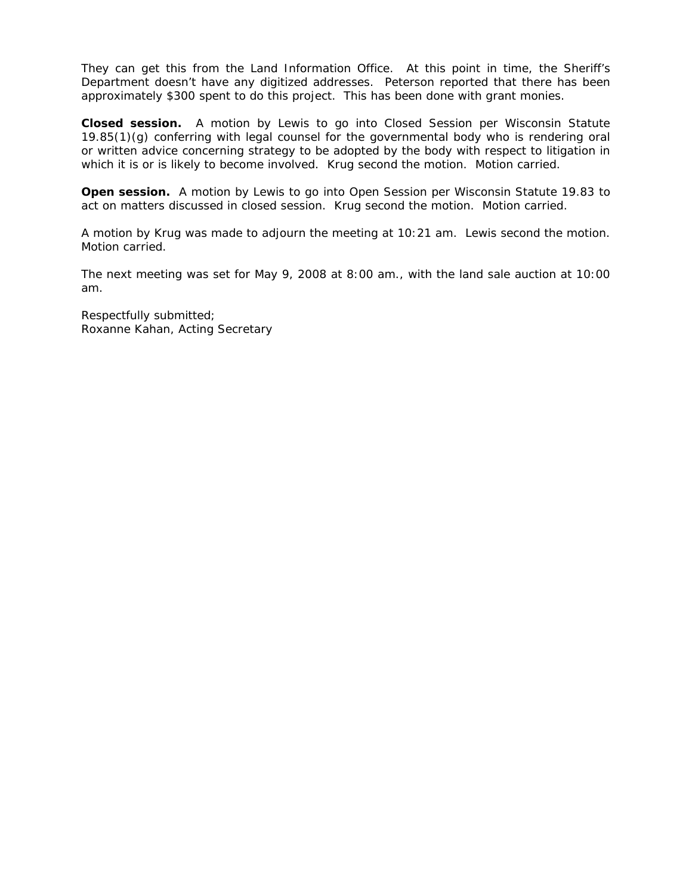They can get this from the Land Information Office. At this point in time, the Sheriff's Department doesn't have any digitized addresses. Peterson reported that there has been approximately \$300 spent to do this project. This has been done with grant monies.

**Closed session.** A motion by Lewis to go into Closed Session per Wisconsin Statute 19.85(1)(g) conferring with legal counsel for the governmental body who is rendering oral or written advice concerning strategy to be adopted by the body with respect to litigation in which it is or is likely to become involved. Krug second the motion. Motion carried.

**Open session.** A motion by Lewis to go into Open Session per Wisconsin Statute 19.83 to act on matters discussed in closed session. Krug second the motion. Motion carried.

A motion by Krug was made to adjourn the meeting at 10:21 am. Lewis second the motion. Motion carried.

The next meeting was set for May 9, 2008 at 8:00 am., with the land sale auction at 10:00 am.

Respectfully submitted; Roxanne Kahan, Acting Secretary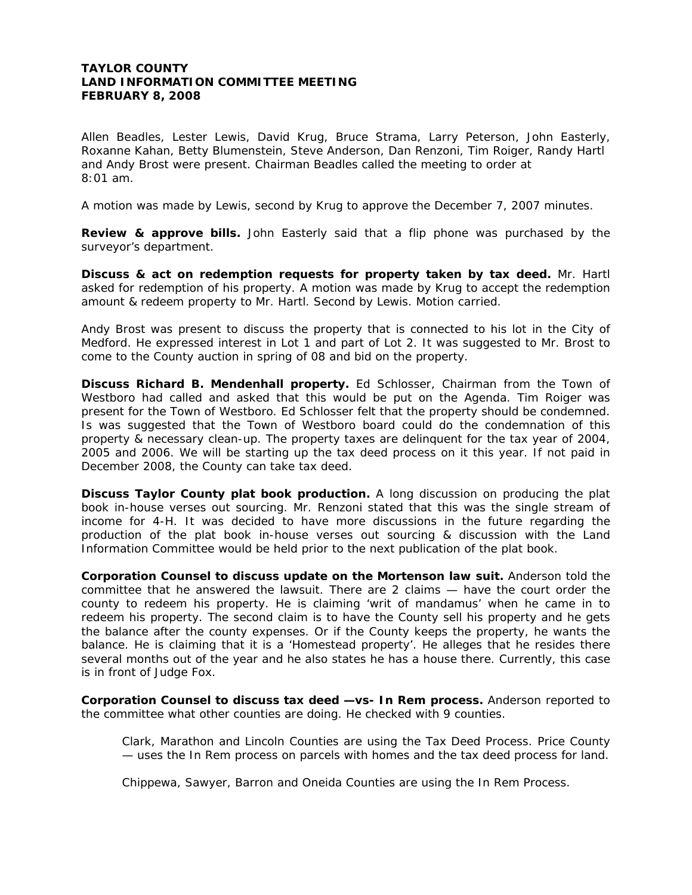# **TAYLOR COUNTY LAND INFORMATION COMMITTEE MEETING FEBRUARY 8, 2008**

Allen Beadles, Lester Lewis, David Krug, Bruce Strama, Larry Peterson, John Easterly, Roxanne Kahan, Betty Blumenstein, Steve Anderson, Dan Renzoni, Tim Roiger, Randy Hartl and Andy Brost were present. Chairman Beadles called the meeting to order at 8:01 am.

A motion was made by Lewis, second by Krug to approve the December 7, 2007 minutes.

**Review & approve bills.** John Easterly said that a flip phone was purchased by the surveyor's department.

**Discuss & act on redemption requests for property taken by tax deed.** Mr. Hartl asked for redemption of his property. A motion was made by Krug to accept the redemption amount & redeem property to Mr. Hartl. Second by Lewis. Motion carried.

Andy Brost was present to discuss the property that is connected to his lot in the City of Medford. He expressed interest in Lot 1 and part of Lot 2. It was suggested to Mr. Brost to come to the County auction in spring of 08 and bid on the property.

**Discuss Richard B. Mendenhall property.** Ed Schlosser, Chairman from the Town of Westboro had called and asked that this would be put on the Agenda. Tim Roiger was present for the Town of Westboro. Ed Schlosser felt that the property should be condemned. Is was suggested that the Town of Westboro board could do the condemnation of this property & necessary clean-up. The property taxes are delinquent for the tax year of 2004, 2005 and 2006. We will be starting up the tax deed process on it this year. If not paid in December 2008, the County can take tax deed.

**Discuss Taylor County plat book production.** A long discussion on producing the plat book in-house verses out sourcing. Mr. Renzoni stated that this was the single stream of income for 4-H. It was decided to have more discussions in the future regarding the production of the plat book in-house verses out sourcing & discussion with the Land Information Committee would be held prior to the next publication of the plat book.

**Corporation Counsel to discuss update on the Mortenson law suit.** Anderson told the committee that he answered the lawsuit. There are 2 claims — have the court order the county to redeem his property. He is claiming 'writ of mandamus' when he came in to redeem his property. The second claim is to have the County sell his property and he gets the balance after the county expenses. Or if the County keeps the property, he wants the balance. He is claiming that it is a 'Homestead property'. He alleges that he resides there several months out of the year and he also states he has a house there. Currently, this case is in front of Judge Fox.

**Corporation Counsel to discuss tax deed —vs- In Rem process.** Anderson reported to the committee what other counties are doing. He checked with 9 counties.

Clark, Marathon and Lincoln Counties are using the Tax Deed Process. Price County — uses the In Rem process on parcels with homes and the tax deed process for land.

Chippewa, Sawyer, Barron and Oneida Counties are using the In Rem Process.